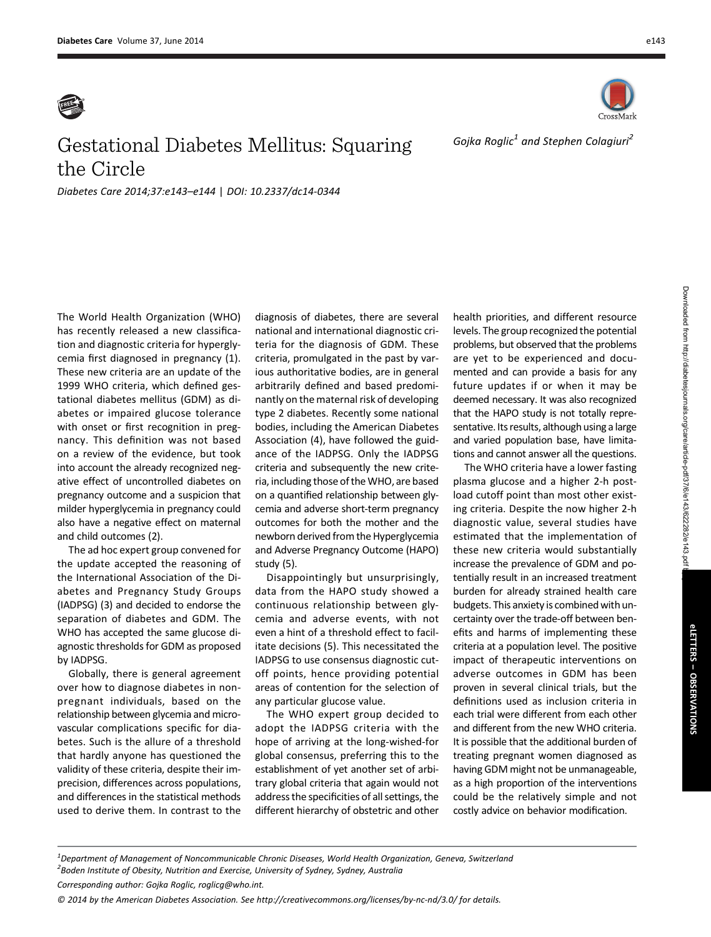



The World Health Organization (WHO) has recently released a new classification and diagnostic criteria for hyperglycemia first diagnosed in pregnancy (1). These new criteria are an update of the 1999 WHO criteria, which defined gestational diabetes mellitus (GDM) as diabetes or impaired glucose tolerance with onset or first recognition in pregnancy. This definition was not based on a review of the evidence, but took into account the already recognized negative effect of uncontrolled diabetes on pregnancy outcome and a suspicion that milder hyperglycemia in pregnancy could also have a negative effect on maternal and child outcomes (2).

The ad hoc expert group convened for the update accepted the reasoning of the International Association of the Diabetes and Pregnancy Study Groups (IADPSG) (3) and decided to endorse the separation of diabetes and GDM. The WHO has accepted the same glucose diagnostic thresholds for GDM as proposed by IADPSG.

Globally, there is general agreement over how to diagnose diabetes in nonpregnant individuals, based on the relationship between glycemia and microvascular complications specific for diabetes. Such is the allure of a threshold that hardly anyone has questioned the validity of these criteria, despite their imprecision, differences across populations, and differences in the statistical methods used to derive them. In contrast to the

diagnosis of diabetes, there are several national and international diagnostic criteria for the diagnosis of GDM. These criteria, promulgated in the past by various authoritative bodies, are in general arbitrarily defined and based predominantly on the maternal risk of developing type 2 diabetes. Recently some national bodies, including the American Diabetes Association (4), have followed the guidance of the IADPSG. Only the IADPSG criteria and subsequently the new criteria, including those of the WHO, are based on a quantified relationship between glycemia and adverse short-term pregnancy outcomes for both the mother and the newborn derived from the Hyperglycemia and Adverse Pregnancy Outcome (HAPO) study (5).

Disappointingly but unsurprisingly, data from the HAPO study showed a continuous relationship between glycemia and adverse events, with not even a hint of a threshold effect to facilitate decisions (5). This necessitated the IADPSG to use consensus diagnostic cutoff points, hence providing potential areas of contention for the selection of any particular glucose value.

The WHO expert group decided to adopt the IADPSG criteria with the hope of arriving at the long-wished-for global consensus, preferring this to the establishment of yet another set of arbitrary global criteria that again would not address the specificities of all settings, the different hierarchy of obstetric and other health priorities, and different resource levels. The group recognized the potential problems, but observed that the problems are yet to be experienced and documented and can provide a basis for any future updates if or when it may be deemed necessary. It was also recognized that the HAPO study is not totally representative. Its results, although using a large and varied population base, have limitations and cannot answer all the questions.

The WHO criteria have a lower fasting plasma glucose and a higher 2-h postload cutoff point than most other existing criteria. Despite the now higher 2-h diagnostic value, several studies have estimated that the implementation of these new criteria would substantially increase the prevalence of GDM and potentially result in an increased treatment burden for already strained health care budgets. This anxiety is combined with uncertainty over the trade-off between benefits and harms of implementing these criteria at a population level. The positive impact of therapeutic interventions on adverse outcomes in GDM has been proven in several clinical trials, but the definitions used as inclusion criteria in each trial were different from each other and different from the new WHO criteria. It is possible that the additional burden of treating pregnant women diagnosed as having GDM might not be unmanageable, as a high proportion of the interventions could be the relatively simple and not costly advice on behavior modification.

Corresponding author: Gojka Roglic, [roglicg@who.int.](mailto:roglicg@who.int)

© 2014 by the American Diabetes Association. See<http://creativecommons.org/licenses/by-nc-nd/3.0/> for details.